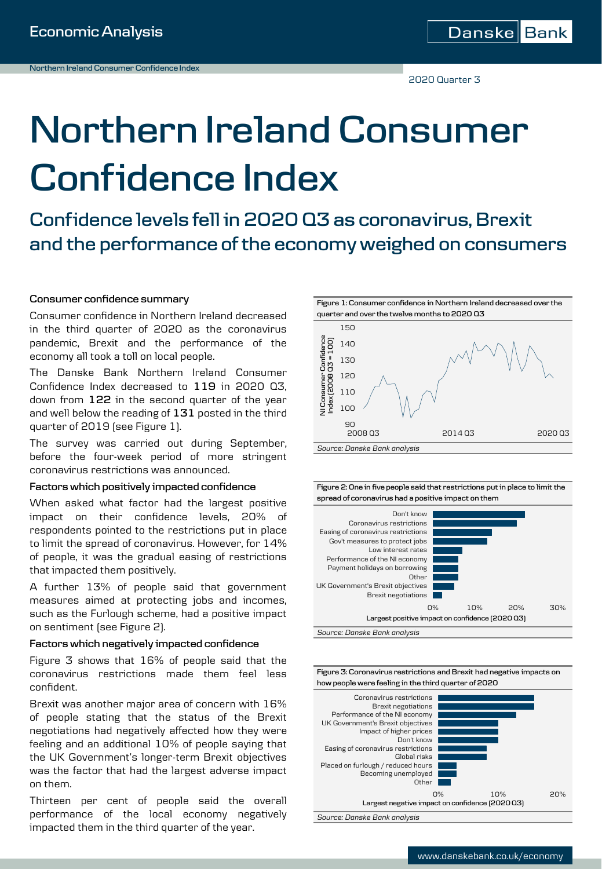2020 Quarter 3

# **Northern Ireland Consumer Confidence Index**

**Confidence levels fell in 2020 Q3 as coronavirus, Brexit and the performance of the economy weighed on consumers**

### **Consumer confidence summary**

Consumer confidence in Northern Ireland decreased in the third quarter of 2020 as the coronavirus pandemic, Brexit and the performance of the economy all took a toll on local people.

The Danske Bank Northern Ireland Consumer Confidence Index decreased to **119** in 2020 Q3, down from **122** in the second quarter of the year and well below the reading of **131** posted in the third quarter of 2019 (see Figure 1).

The survey was carried out during September, before the four-week period of more stringent coronavirus restrictions was announced.

#### **Factors which positively impacted confidence**

When asked what factor had the largest positive impact on their confidence levels, 20% of respondents pointed to the restrictions put in place to limit the spread of coronavirus. However, for 14% of people, it was the gradual easing of restrictions that impacted them positively.

A further 13% of people said that government measures aimed at protecting jobs and incomes, such as the Furlough scheme, had a positive impact on sentiment (see Figure 2).

### **Factors which negatively impacted confidence**

Figure 3 shows that 16% of people said that the coronavirus restrictions made them feel less confident.

Brexit was another major area of concern with 16% of people stating that the status of the Brexit negotiations had negatively affected how they were feeling and an additional 10% of people saying that the UK Government's longer-term Brexit objectives was the factor that had the largest adverse impact on them.

Thirteen per cent of people said the overall performance of the local economy negatively impacted them in the third quarter of the year.

**quarter and over the twelve months to 2020 Q3** 150 - Confidence<br>8 Q3 = 100) **NI Consumer Confidence Index (2008 Q3 = 100)** 140 130 NI Consumer C<br>Index (2008 O 120 110 100  $90$ 2008 Q3 2014 Q3 2020 Q3 *Source: Danske Bank analysis*

**Figure 1: Consumer confidence in Northern Ireland decreased over the** 

**Figure 2: One in five people said that restrictions put in place to limit the spread of coronavirus had a positive impact on them**





*Source: Danske Bank analysis*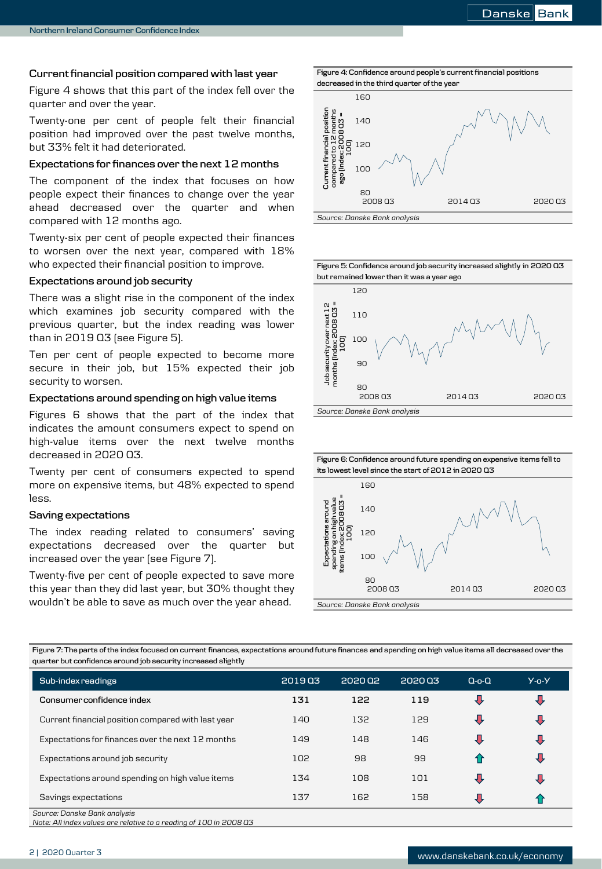### **Currentfinancial position compared with last year**

Figure 4 shows that this part of the index fell over the quarter and over the year.

Twenty-one per cent of people felt their financial position had improved over the past twelve months, but 33% felt it had deteriorated.

### **Expectations for finances over the next 12 months**

The component of the index that focuses on how people expect their finances to change over the year ahead decreased over the quarter and when compared with 12 months ago.

Twenty-six per cent of people expected their finances to worsen over the next year, compared with 18% who expected their financial position to improve.

### **Expectations around job security**

There was a slight rise in the component of the index which examines job security compared with the previous quarter, but the index reading was lower than in 2019 Q3 (see Figure 5).

Ten per cent of people expected to become more secure in their job, but 15% expected their job security to worsen.

### **Expectations around spending on high value items**

Figures 6 shows that the part of the index that indicates the amount consumers expect to spend on high-value items over the next twelve months decreased in 2020 Q3.

Twenty per cent of consumers expected to spend more on expensive items, but 48% expected to spend less.

### **Saving expectations**

The index reading related to consumers' saving expectations decreased over the quarter but increased over the year (see Figure 7).

Twenty-five per cent of people expected to save more this year than they did last year, but 30% thought they wouldn't be able to save as much over the year ahead.



**Figure 5: Confidence around job security increased slightly in 2020 Q3 but remained lower than it was a year ago**





**Figure 7: The parts of the index focused on current finances, expectations around future finances and spending on high value items all decreased over the quarter but confidence around job security increased slightly**

| Sub-index readings                                 | 201903 | 2020 02 | 202003 | $Q$ -o- $Q$    | $Y - 0 - Y$ |
|----------------------------------------------------|--------|---------|--------|----------------|-------------|
| Consumer confidence index                          | 131    | 122     | 119    | ₹              | 男           |
| Current financial position compared with last year | 140    | 132     | 129    | $\overline{v}$ | 寻           |
| Expectations for finances over the next 12 months  | 149    | 148     | 146    | $\overline{v}$ | J,          |
| Expectations around job security                   | 102    | 98      | 99     | 4 P            | ₩           |
| Expectations around spending on high value items   | 134    | 108     | 101    | $\overline{v}$ | J,          |
| Savings expectations                               | 137    | 162     | 158    | $\overline{u}$ |             |
| Source: Danske Bank analysis                       |        |         |        |                |             |

*Note: All index values are relative to a reading of 100 in 2008 Q3*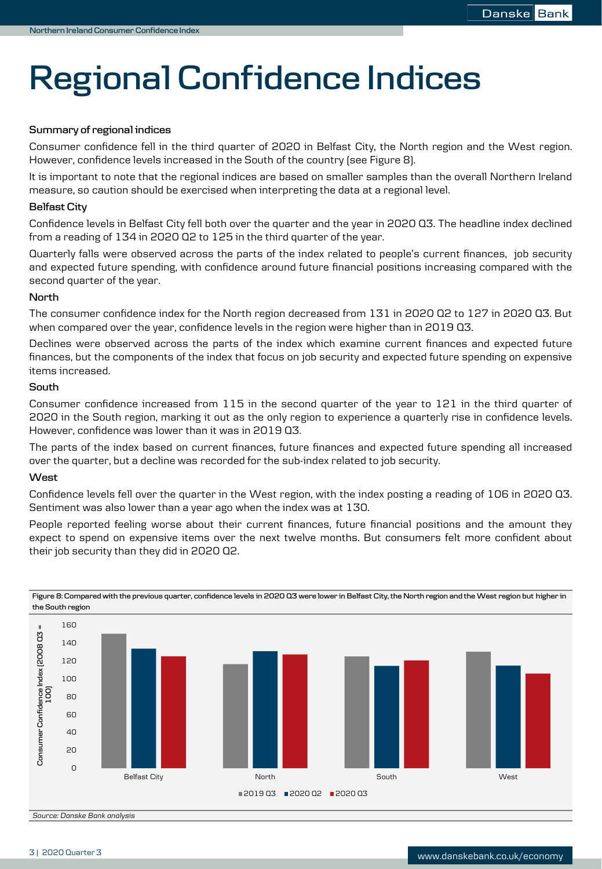## **Regional Confidence Indices**

### **Summary of regional indices**

Consumer confidence fell in the third quarter of 2020 in Belfast City, the North region and the West region. However, confidence levels increased in the South of the country (see Figure 8).

It is important to note that the regional indices are based on smaller samples than the overall Northern Ireland measure, so caution should be exercised when interpreting the data at a regional level.

### **Belfast City**

Confidence levels in Belfast City fell both over the quarter and the year in 2020 Q3. The headline index declined from a reading of 134 in 2020 Q2 to 125 in the third quarter of the year.

Quarterly falls were observed across the parts of the index related to people's current finances, job security and expected future spending, with confidence around future financial positions increasing compared with the second quarter of the year.

### **North**

The consumer confidence index for the North region decreased from 131 in 2020 Q2 to 127 in 2020 Q3. But when compared over the year, confidence levels in the region were higher than in 2019 Q3.

Declines were observed across the parts of the index which examine current finances and expected future finances, but the components of the index that focus on job security and expected future spending on expensive items increased.

### **South**

Consumer confidence increased from 115 in the second quarter of the year to 121 in the third quarter of 2020 in the South region, marking it out as the only region to experience a quarterly rise in confidence levels. However, confidence was lower than it was in 2019 Q3.

The parts of the index based on current finances, future finances and expected future spending all increased over the quarter, but a decline was recorded for the sub-index related to job security.

### **West**

Confidence levels fell over the quarter in the West region, with the index posting a reading of 106 in 2020 Q3. Sentiment was also lower than a year ago when the index was at 130.

People reported feeling worse about their current finances, future financial positions and the amount they expect to spend on expensive items over the next twelve months. But consumers felt more confident about their job security than they did in 2020 Q2.



**Figure 8: Compared with the previous quarter, confidence levels in 2020 Q3 were lower in Belfast City, the North region and the West region but higher in the South region**

*Source: Danske Bank analysis*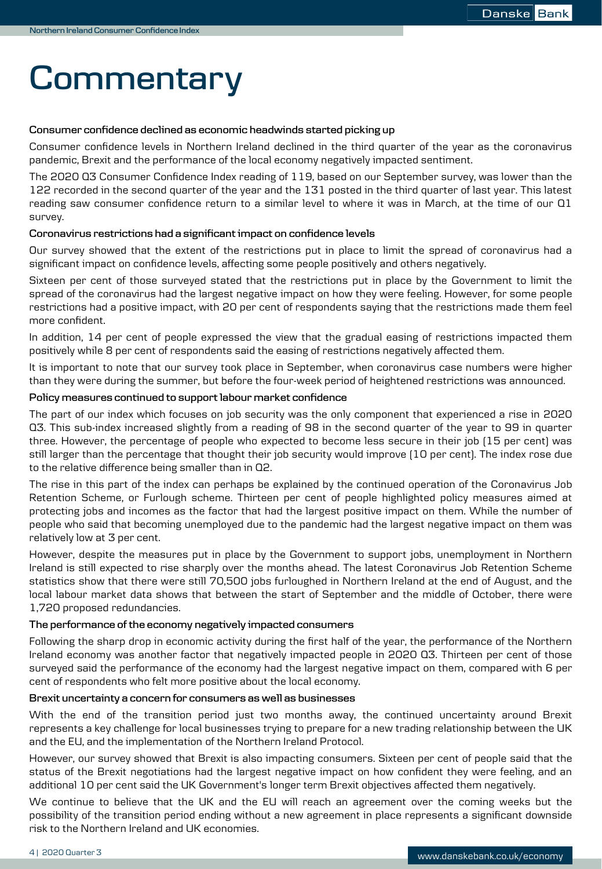### **Commentary**

### **Consumer confidence declined as economic headwinds started picking up**

Consumer confidence levels in Northern Ireland declined in the third quarter of the year as the coronavirus pandemic, Brexit and the performance of the local economy negatively impacted sentiment.

The 2020 Q3 Consumer Confidence Index reading of 119, based on our September survey, was lower than the 122 recorded in the second quarter of the year and the 131 posted in the third quarter of last year. This latest reading saw consumer confidence return to a similar level to where it was in March, at the time of our Q1 survey.

### **Coronavirus restrictions had a significantimpact on confidence levels**

Our survey showed that the extent of the restrictions put in place to limit the spread of coronavirus had a significant impact on confidence levels, affecting some people positively and others negatively.

Sixteen per cent of those surveyed stated that the restrictions put in place by the Government to limit the spread of the coronavirus had the largest negative impact on how they were feeling. However, for some people restrictions had a positive impact, with 20 per cent of respondents saying that the restrictions made them feel more confident.

In addition, 14 per cent of people expressed the view that the gradual easing of restrictions impacted them positively while 8 per cent of respondents said the easing of restrictions negatively affected them.

It is important to note that our survey took place in September, when coronavirus case numbers were higher than they were during the summer, but before the four-week period of heightened restrictions was announced.

### **Policy measures continued to supportlabour market confidence**

The part of our index which focuses on job security was the only component that experienced a rise in 2020 Q3. This sub-index increased slightly from a reading of 98 in the second quarter of the year to 99 in quarter three. However, the percentage of people who expected to become less secure in their job (15 per cent) was still larger than the percentage that thought their job security would improve (10 per cent). The index rose due to the relative difference being smaller than in Q2.

The rise in this part of the index can perhaps be explained by the continued operation of the Coronavirus Job Retention Scheme, or Furlough scheme. Thirteen per cent of people highlighted policy measures aimed at protecting jobs and incomes as the factor that had the largest positive impact on them. While the number of people who said that becoming unemployed due to the pandemic had the largest negative impact on them was relatively low at 3 per cent.

However, despite the measures put in place by the Government to support jobs, unemployment in Northern Ireland is still expected to rise sharply over the months ahead. The latest Coronavirus Job Retention Scheme statistics show that there were still 70,500 jobs furloughed in Northern Ireland at the end of August, and the local labour market data shows that between the start of September and the middle of October, there were 1,720 proposed redundancies.

### **The performance of the economy negatively impacted consumers**

Following the sharp drop in economic activity during the first half of the year, the performance of the Northern Ireland economy was another factor that negatively impacted people in 2020 Q3. Thirteen per cent of those surveyed said the performance of the economy had the largest negative impact on them, compared with 6 per cent of respondents who felt more positive about the local economy.

### **Brexit uncertainty a concern for consumers as well as businesses**

With the end of the transition period just two months away, the continued uncertainty around Brexit represents a key challenge for local businesses trying to prepare for a new trading relationship between the UK and the EU, and the implementation of the Northern Ireland Protocol.

However, our survey showed that Brexit is also impacting consumers. Sixteen per cent of people said that the status of the Brexit negotiations had the largest negative impact on how confident they were feeling, and an additional 10 per cent said the UK Government's longer term Brexit objectives affected them negatively.

We continue to believe that the UK and the EU will reach an agreement over the coming weeks but the possibility of the transition period ending without a new agreement in place represents a significant downside risk to the Northern Ireland and UK economies.